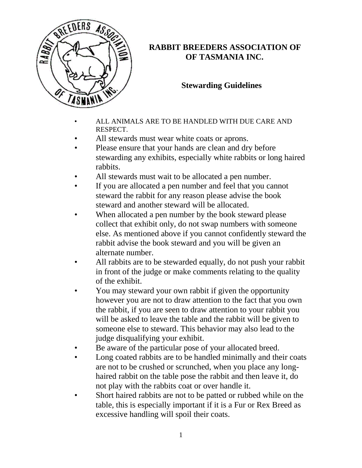

## **RABBIT BREEDERS ASSOCIATION OF OF TASMANIA INC.**

## **Stewarding Guidelines**

- ALL ANIMALS ARE TO BE HANDLED WITH DUE CARE AND RESPECT.
- All stewards must wear white coats or aprons.
- Please ensure that your hands are clean and dry before stewarding any exhibits, especially white rabbits or long haired rabbits.
- All stewards must wait to be allocated a pen number.
- If you are allocated a pen number and feel that you cannot steward the rabbit for any reason please advise the book steward and another steward will be allocated.
- When allocated a pen number by the book steward please collect that exhibit only, do not swap numbers with someone else. As mentioned above if you cannot confidently steward the rabbit advise the book steward and you will be given an alternate number.
- All rabbits are to be stewarded equally, do not push your rabbit in front of the judge or make comments relating to the quality of the exhibit.
- You may steward your own rabbit if given the opportunity however you are not to draw attention to the fact that you own the rabbit, if you are seen to draw attention to your rabbit you will be asked to leave the table and the rabbit will be given to someone else to steward. This behavior may also lead to the judge disqualifying your exhibit.
- Be aware of the particular pose of your allocated breed.
- Long coated rabbits are to be handled minimally and their coats are not to be crushed or scrunched, when you place any longhaired rabbit on the table pose the rabbit and then leave it, do not play with the rabbits coat or over handle it.
- Short haired rabbits are not to be patted or rubbed while on the table, this is especially important if it is a Fur or Rex Breed as excessive handling will spoil their coats.